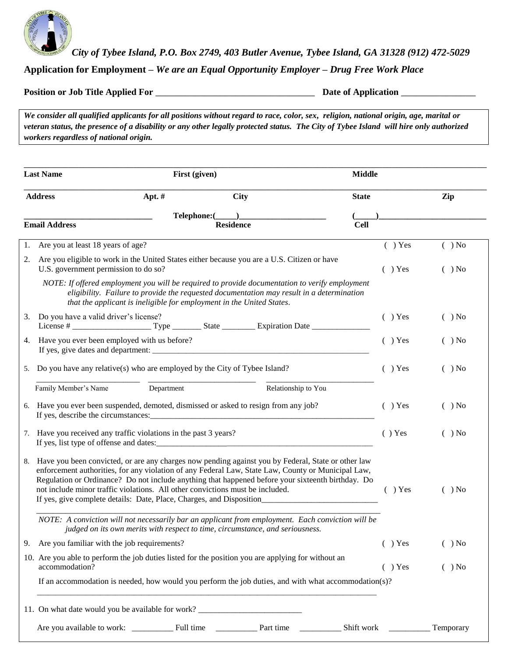

*City of Tybee Island, P.O. Box 2749, 403 Butler Avenue, Tybee Island, GA 31328 (912) 472-5029*

**Application for Employment –** *We are an Equal Opportunity Employer* **–** *Drug Free Work Place*

**Position or Job Title Applied For** \_\_\_\_\_\_\_\_\_\_\_\_\_\_\_\_\_\_\_\_\_\_\_\_\_\_\_\_\_\_\_\_ **Date of Application** \_\_\_\_\_\_\_\_\_\_\_\_\_\_\_

*We consider all qualified applicants for all positions without regard to race, color, sex, religion, national origin, age, marital or veteran status, the presence of a disability or any other legally protected status. The City of Tybee Island will hire only authorized workers regardless of national origin.*

| <b>Last Name</b>                                                 | First (given)                                                                                                                                                                                                                                                                                                                                                                                                                                                             |                     | <b>Middle</b> |           |          |
|------------------------------------------------------------------|---------------------------------------------------------------------------------------------------------------------------------------------------------------------------------------------------------------------------------------------------------------------------------------------------------------------------------------------------------------------------------------------------------------------------------------------------------------------------|---------------------|---------------|-----------|----------|
| <b>Address</b>                                                   | Apt. $#$                                                                                                                                                                                                                                                                                                                                                                                                                                                                  | <b>City</b>         | <b>State</b>  |           | Zip      |
|                                                                  | Telephone:(                                                                                                                                                                                                                                                                                                                                                                                                                                                               |                     |               |           |          |
| <b>Email Address</b>                                             |                                                                                                                                                                                                                                                                                                                                                                                                                                                                           | <b>Residence</b>    | <b>Cell</b>   |           |          |
| 1. Are you at least 18 years of age?                             |                                                                                                                                                                                                                                                                                                                                                                                                                                                                           |                     |               | $( )$ Yes | $( )$ No |
| 2.<br>U.S. government permission to do so?                       | Are you eligible to work in the United States either because you are a U.S. Citizen or have                                                                                                                                                                                                                                                                                                                                                                               |                     |               | $( )$ Yes | $( )$ No |
|                                                                  | NOTE: If offered employment you will be required to provide documentation to verify employment<br>eligibility. Failure to provide the requested documentation may result in a determination<br>that the applicant is ineligible for employment in the United States.                                                                                                                                                                                                      |                     |               |           |          |
| Do you have a valid driver's license?<br>3.                      |                                                                                                                                                                                                                                                                                                                                                                                                                                                                           |                     |               | $( )$ Yes | ) No     |
| 4.                                                               | Have you ever been employed with us before?                                                                                                                                                                                                                                                                                                                                                                                                                               |                     |               | $( )$ Yes | $( )$ No |
|                                                                  | 5. Do you have any relative(s) who are employed by the City of Tybee Island?                                                                                                                                                                                                                                                                                                                                                                                              |                     |               | $( )$ Yes | $( )$ No |
| Family Member's Name                                             | Department                                                                                                                                                                                                                                                                                                                                                                                                                                                                | Relationship to You |               |           |          |
|                                                                  | 6. Have you ever been suspended, demoted, dismissed or asked to resign from any job?                                                                                                                                                                                                                                                                                                                                                                                      |                     |               | $( )$ Yes | $( )$ No |
| 7. Have you received any traffic violations in the past 3 years? |                                                                                                                                                                                                                                                                                                                                                                                                                                                                           |                     |               | $( )$ Yes | $( )$ No |
|                                                                  | 8. Have you been convicted, or are any charges now pending against you by Federal, State or other law<br>enforcement authorities, for any violation of any Federal Law, State Law, County or Municipal Law,<br>Regulation or Ordinance? Do not include anything that happened before your sixteenth birthday. Do<br>not include minor traffic violations. All other convictions must be included.<br>If yes, give complete details: Date, Place, Charges, and Disposition |                     |               | $( )$ Yes | ) No     |
|                                                                  | NOTE: A conviction will not necessarily bar an applicant from employment. Each conviction will be<br>judged on its own merits with respect to time, circumstance, and seriousness.                                                                                                                                                                                                                                                                                        |                     |               |           |          |
| 9. Are you familiar with the job requirements?                   |                                                                                                                                                                                                                                                                                                                                                                                                                                                                           |                     |               | $( )$ Yes | $( )$ No |
| accommodation?                                                   | 10. Are you able to perform the job duties listed for the position you are applying for without an                                                                                                                                                                                                                                                                                                                                                                        |                     |               | $( )$ Yes | $( )$ No |
|                                                                  | If an accommodation is needed, how would you perform the job duties, and with what accommodation(s)?                                                                                                                                                                                                                                                                                                                                                                      |                     |               |           |          |
|                                                                  | 11. On what date would you be available for work? ______________________________                                                                                                                                                                                                                                                                                                                                                                                          |                     |               |           |          |
|                                                                  |                                                                                                                                                                                                                                                                                                                                                                                                                                                                           |                     |               |           |          |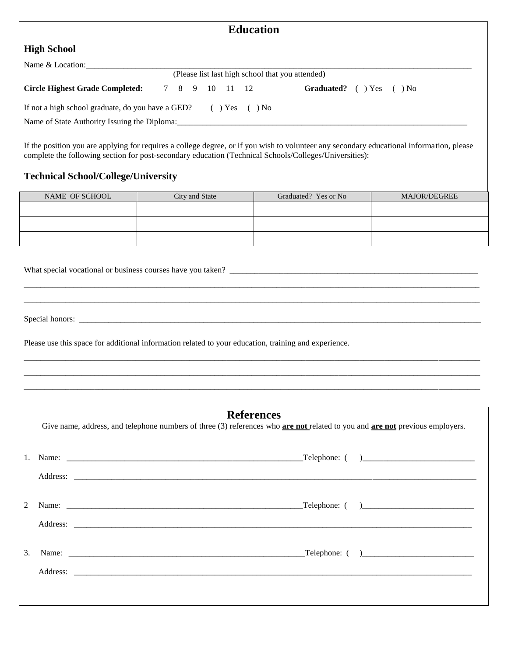| <b>Education</b>                                                     |  |  |  |  |                |                                                                                                            |
|----------------------------------------------------------------------|--|--|--|--|----------------|------------------------------------------------------------------------------------------------------------|
| <b>High School</b>                                                   |  |  |  |  |                |                                                                                                            |
| Name & Location:                                                     |  |  |  |  |                |                                                                                                            |
|                                                                      |  |  |  |  |                | (Please list last high school that you attended)                                                           |
| <b>Circle Highest Grade Completed:</b>                               |  |  |  |  | 7 8 9 10 11 12 | Graduated? ( ) Yes ( ) No                                                                                  |
| If not a high school graduate, do you have a GED? $( )$ Yes $( )$ No |  |  |  |  |                |                                                                                                            |
|                                                                      |  |  |  |  |                | Name of State Authority Issuing the Diploma: example and the state of State Authority Issuing the Diploma: |
|                                                                      |  |  |  |  |                |                                                                                                            |
|                                                                      |  |  |  |  |                |                                                                                                            |

If the position you are applying for requires a college degree, or if you wish to volunteer any secondary educational information, please complete the following section for post-secondary education (Technical Schools/Colleges/Universities):

### **Technical School/College/University**

| NAME OF SCHOOL | City and State | Graduated? Yes or No | <b>MAJOR/DEGREE</b> |  |
|----------------|----------------|----------------------|---------------------|--|
|                |                |                      |                     |  |
|                |                |                      |                     |  |
|                |                |                      |                     |  |
|                |                |                      |                     |  |

\_\_\_\_\_\_\_\_\_\_\_\_\_\_\_\_\_\_\_\_\_\_\_\_\_\_\_\_\_\_\_\_\_\_\_\_\_\_\_\_\_\_\_\_\_\_\_\_\_\_\_\_\_\_\_\_\_\_\_\_\_\_\_\_\_\_\_\_\_\_\_\_\_\_\_\_\_\_\_\_\_\_\_\_\_\_\_\_\_\_\_\_\_\_\_\_\_\_\_\_\_\_\_\_\_\_\_\_\_\_ \_\_\_\_\_\_\_\_\_\_\_\_\_\_\_\_\_\_\_\_\_\_\_\_\_\_\_\_\_\_\_\_\_\_\_\_\_\_\_\_\_\_\_\_\_\_\_\_\_\_\_\_\_\_\_\_\_\_\_\_\_\_\_\_\_\_\_\_\_\_\_\_\_\_\_\_\_\_\_\_\_\_\_\_\_\_\_\_\_\_\_\_\_\_\_\_\_\_\_\_\_\_\_\_\_\_\_\_\_\_

What special vocational or business courses have you taken? \_\_\_\_\_\_\_\_\_\_\_\_\_\_\_\_\_\_\_\_\_\_\_\_\_\_\_\_\_\_\_\_\_\_\_\_\_\_\_\_\_\_\_\_\_\_\_\_\_\_\_\_\_\_\_\_\_\_\_\_

Special honors: \_\_\_\_\_\_\_\_\_\_\_\_\_\_\_\_\_\_\_\_\_\_\_\_\_\_\_\_\_\_\_\_\_\_\_\_\_\_\_\_\_\_\_\_\_\_\_\_\_\_\_\_\_\_\_\_\_\_\_\_\_\_\_\_\_\_\_\_\_\_\_\_\_\_\_\_\_\_\_\_\_\_\_\_\_\_\_\_\_\_\_\_\_\_\_\_\_

Please use this space for additional information related to your education, training and experience.

#### **References**

**\_\_\_\_\_\_\_\_\_\_\_\_\_\_\_\_\_\_\_\_\_\_\_\_\_\_\_\_\_\_\_\_\_\_\_\_\_\_\_\_\_\_\_\_\_\_\_\_\_\_\_\_\_\_\_\_\_\_\_\_\_\_\_\_\_\_\_\_\_\_\_\_\_\_\_\_\_\_\_\_\_\_\_\_\_\_\_\_\_\_\_\_\_\_\_\_\_\_\_\_\_\_\_\_\_\_\_\_\_\_ \_\_\_\_\_\_\_\_\_\_\_\_\_\_\_\_\_\_\_\_\_\_\_\_\_\_\_\_\_\_\_\_\_\_\_\_\_\_\_\_\_\_\_\_\_\_\_\_\_\_\_\_\_\_\_\_\_\_\_\_\_\_\_\_\_\_\_\_\_\_\_\_\_\_\_\_\_\_\_\_\_\_\_\_\_\_\_\_\_\_\_\_\_\_\_\_\_\_\_\_\_\_\_\_\_\_\_\_\_\_ \_\_\_\_\_\_\_\_\_\_\_\_\_\_\_\_\_\_\_\_\_\_\_\_\_\_\_\_\_\_\_\_\_\_\_\_\_\_\_\_\_\_\_\_\_\_\_\_\_\_\_\_\_\_\_\_\_\_\_\_\_\_\_\_\_\_\_\_\_\_\_\_\_\_\_\_\_\_\_\_\_\_\_\_\_\_\_\_\_\_\_\_\_\_\_\_\_\_\_\_\_\_\_\_\_\_\_\_\_\_**

Give name, address, and telephone numbers of three (3) references who **are not** related to you and **are not** previous employers.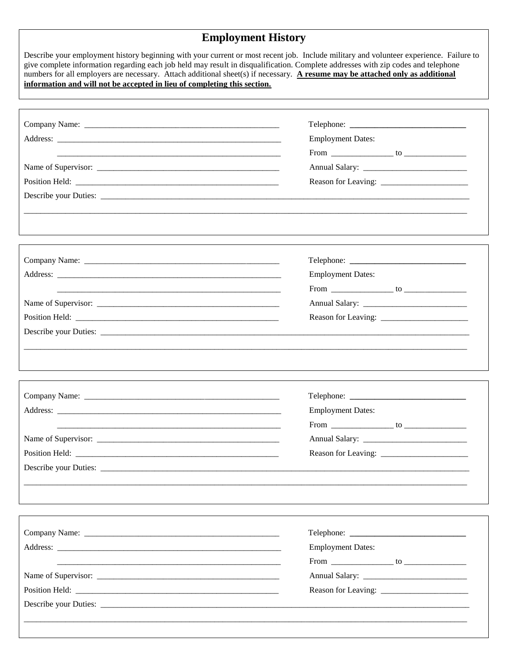# **Employment History**

| Describe your employment history beginning with your current or most recent job. Include military and volunteer experience. Failure to<br>give complete information regarding each job held may result in disqualification. Complete addresses with zip codes and telephone<br>numbers for all employers are necessary. Attach additional sheet(s) if necessary. A resume may be attached only as additional<br>information and will not be accepted in lieu of completing this section. |                          |
|------------------------------------------------------------------------------------------------------------------------------------------------------------------------------------------------------------------------------------------------------------------------------------------------------------------------------------------------------------------------------------------------------------------------------------------------------------------------------------------|--------------------------|
|                                                                                                                                                                                                                                                                                                                                                                                                                                                                                          |                          |
|                                                                                                                                                                                                                                                                                                                                                                                                                                                                                          |                          |
|                                                                                                                                                                                                                                                                                                                                                                                                                                                                                          | <b>Employment Dates:</b> |
|                                                                                                                                                                                                                                                                                                                                                                                                                                                                                          |                          |
|                                                                                                                                                                                                                                                                                                                                                                                                                                                                                          |                          |
|                                                                                                                                                                                                                                                                                                                                                                                                                                                                                          |                          |
|                                                                                                                                                                                                                                                                                                                                                                                                                                                                                          |                          |
|                                                                                                                                                                                                                                                                                                                                                                                                                                                                                          |                          |
|                                                                                                                                                                                                                                                                                                                                                                                                                                                                                          |                          |
|                                                                                                                                                                                                                                                                                                                                                                                                                                                                                          |                          |
|                                                                                                                                                                                                                                                                                                                                                                                                                                                                                          | <b>Employment Dates:</b> |
|                                                                                                                                                                                                                                                                                                                                                                                                                                                                                          |                          |
|                                                                                                                                                                                                                                                                                                                                                                                                                                                                                          |                          |
|                                                                                                                                                                                                                                                                                                                                                                                                                                                                                          |                          |
|                                                                                                                                                                                                                                                                                                                                                                                                                                                                                          |                          |
|                                                                                                                                                                                                                                                                                                                                                                                                                                                                                          |                          |
|                                                                                                                                                                                                                                                                                                                                                                                                                                                                                          |                          |
|                                                                                                                                                                                                                                                                                                                                                                                                                                                                                          | <b>Employment Dates:</b> |
|                                                                                                                                                                                                                                                                                                                                                                                                                                                                                          |                          |
|                                                                                                                                                                                                                                                                                                                                                                                                                                                                                          |                          |
|                                                                                                                                                                                                                                                                                                                                                                                                                                                                                          |                          |
|                                                                                                                                                                                                                                                                                                                                                                                                                                                                                          |                          |
|                                                                                                                                                                                                                                                                                                                                                                                                                                                                                          |                          |
|                                                                                                                                                                                                                                                                                                                                                                                                                                                                                          |                          |
|                                                                                                                                                                                                                                                                                                                                                                                                                                                                                          |                          |
|                                                                                                                                                                                                                                                                                                                                                                                                                                                                                          | <b>Employment Dates:</b> |
|                                                                                                                                                                                                                                                                                                                                                                                                                                                                                          |                          |
|                                                                                                                                                                                                                                                                                                                                                                                                                                                                                          |                          |
|                                                                                                                                                                                                                                                                                                                                                                                                                                                                                          |                          |
|                                                                                                                                                                                                                                                                                                                                                                                                                                                                                          |                          |
|                                                                                                                                                                                                                                                                                                                                                                                                                                                                                          |                          |
|                                                                                                                                                                                                                                                                                                                                                                                                                                                                                          |                          |